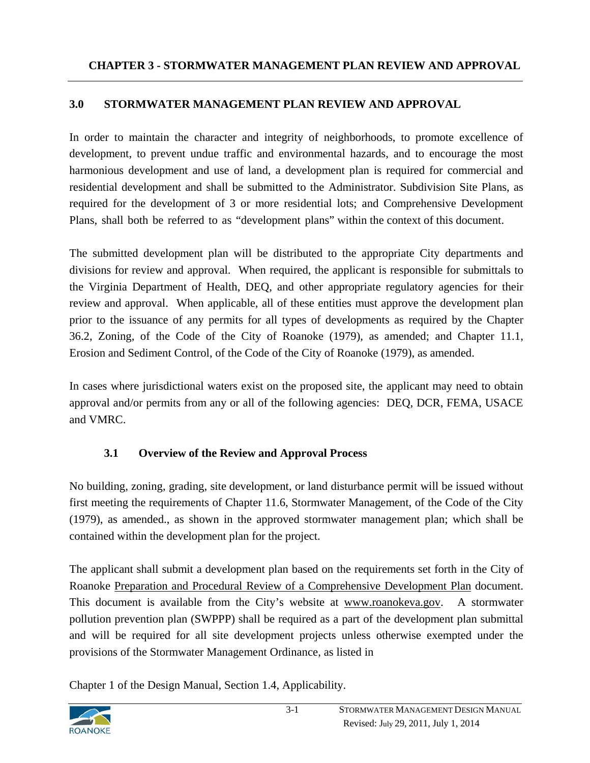## **3.0 STORMWATER MANAGEMENT PLAN REVIEW AND APPROVAL**

In order to maintain the character and integrity of neighborhoods, to promote excellence of development, to prevent undue traffic and environmental hazards, and to encourage the most harmonious development and use of land, a development plan is required for commercial and residential development and shall be submitted to the Administrator. Subdivision Site Plans, as required for the development of 3 or more residential lots; and Comprehensive Development Plans, shall both be referred to as "development plans" within the context of this document.

The submitted development plan will be distributed to the appropriate City departments and divisions for review and approval. When required, the applicant is responsible for submittals to the Virginia Department of Health, DEQ, and other appropriate regulatory agencies for their review and approval. When applicable, all of these entities must approve the development plan prior to the issuance of any permits for all types of developments as required by the Chapter 36.2, Zoning, of the Code of the City of Roanoke (1979), as amended; and Chapter 11.1, Erosion and Sediment Control, of the Code of the City of Roanoke (1979), as amended.

In cases where jurisdictional waters exist on the proposed site, the applicant may need to obtain approval and/or permits from any or all of the following agencies: DEQ, DCR, FEMA, USACE and VMRC.

## **3.1 Overview of the Review and Approval Process**

No building, zoning, grading, site development, or land disturbance permit will be issued without first meeting the requirements of Chapter 11.6, Stormwater Management, of the Code of the City (1979), as amended., as shown in the approved stormwater management plan; which shall be contained within the development plan for the project.

The applicant shall submit a development plan based on the requirements set forth in the City of Roanoke Preparation and Procedural Review of a Comprehensive Development Plan document. This document is available from the City's website at www.roanokeva.gov. A stormwater pollution prevention plan (SWPPP) shall be required as a part of the development plan submittal and will be required for all site development projects unless otherwise exempted under the provisions of the Stormwater Management Ordinance, as listed in

Chapter 1 of the Design Manual, Section 1.4, Applicability.

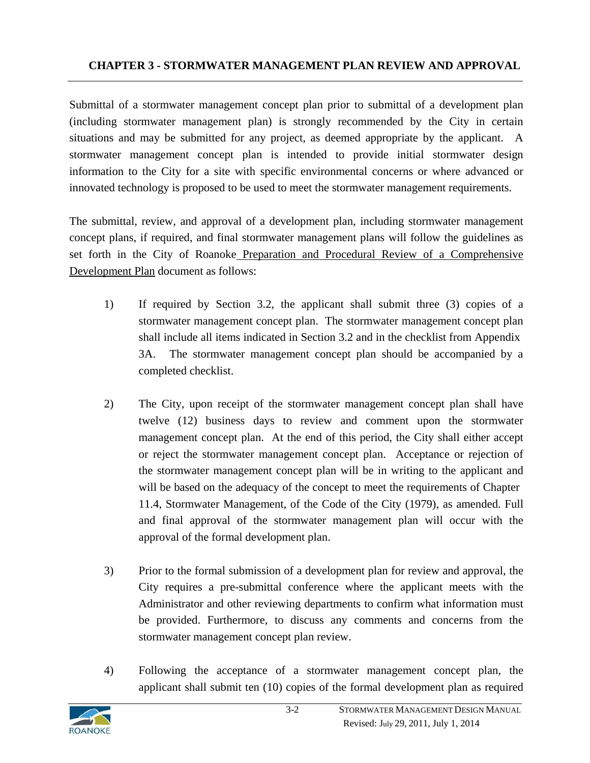Submittal of a stormwater management concept plan prior to submittal of a development plan (including stormwater management plan) is strongly recommended by the City in certain situations and may be submitted for any project, as deemed appropriate by the applicant. A stormwater management concept plan is intended to provide initial stormwater design information to the City for a site with specific environmental concerns or where advanced or innovated technology is proposed to be used to meet the stormwater management requirements.

The submittal, review, and approval of a development plan, including stormwater management concept plans, if required, and final stormwater management plans will follow the guidelines as set forth in the City of Roanoke Preparation and Procedural Review of a Comprehensive Development Plan document as follows:

- 1) If required by Section 3.2, the applicant shall submit three (3) copies of a stormwater management concept plan. The stormwater management concept plan shall include all items indicated in Section 3.2 and in the checklist from Appendix 3A. The stormwater management concept plan should be accompanied by a completed checklist.
- 2) The City, upon receipt of the stormwater management concept plan shall have twelve (12) business days to review and comment upon the stormwater management concept plan. At the end of this period, the City shall either accept or reject the stormwater management concept plan. Acceptance or rejection of the stormwater management concept plan will be in writing to the applicant and will be based on the adequacy of the concept to meet the requirements of Chapter 11.4, Stormwater Management, of the Code of the City (1979), as amended. Full and final approval of the stormwater management plan will occur with the approval of the formal development plan.
- 3) Prior to the formal submission of a development plan for review and approval, the City requires a pre-submittal conference where the applicant meets with the Administrator and other reviewing departments to confirm what information must be provided. Furthermore, to discuss any comments and concerns from the stormwater management concept plan review.
- 4) Following the acceptance of a stormwater management concept plan, the applicant shall submit ten (10) copies of the formal development plan as required

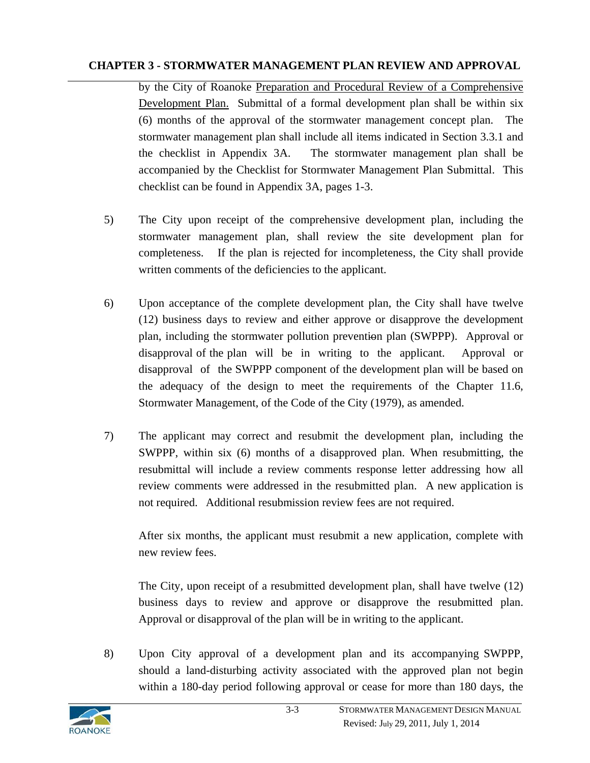by the City of Roanoke Preparation and Procedural Review of a Comprehensive Development Plan. Submittal of a formal development plan shall be within six (6) months of the approval of the stormwater management concept plan. The stormwater management plan shall include all items indicated in Section 3.3.1 and the checklist in Appendix 3A. The stormwater management plan shall be accompanied by the Checklist for Stormwater Management Plan Submittal. This checklist can be found in Appendix 3A, pages 1-3.

- 5) The City upon receipt of the comprehensive development plan, including the stormwater management plan, shall review the site development plan for completeness. If the plan is rejected for incompleteness, the City shall provide written comments of the deficiencies to the applicant.
- 6) Upon acceptance of the complete development plan, the City shall have twelve (12) business days to review and either approve or disapprove the development plan, including the stormwater pollution prevention plan (SWPPP). Approval or disapproval of the plan will be in writing to the applicant. Approval or disapproval of the SWPPP component of the development plan will be based on the adequacy of the design to meet the requirements of the Chapter 11.6, Stormwater Management, of the Code of the City (1979), as amended.
- 7) The applicant may correct and resubmit the development plan, including the SWPPP, within six (6) months of a disapproved plan. When resubmitting, the resubmittal will include a review comments response letter addressing how all review comments were addressed in the resubmitted plan. A new application is not required. Additional resubmission review fees are not required.

After six months, the applicant must resubmit a new application, complete with new review fees.

The City, upon receipt of a resubmitted development plan, shall have twelve (12) business days to review and approve or disapprove the resubmitted plan. Approval or disapproval of the plan will be in writing to the applicant.

8) Upon City approval of a development plan and its accompanying SWPPP, should a land-disturbing activity associated with the approved plan not begin within a 180-day period following approval or cease for more than 180 days, the

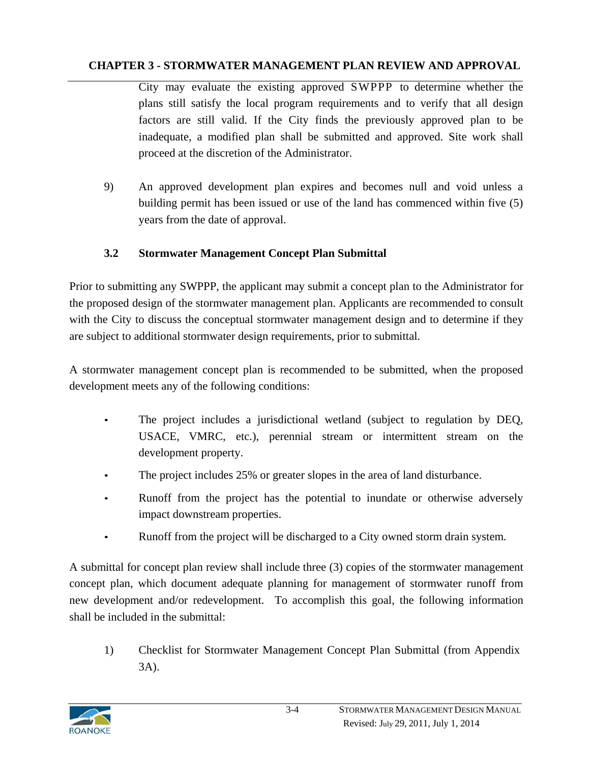City may evaluate the existing approved SWPPP to determine whether the plans still satisfy the local program requirements and to verify that all design factors are still valid. If the City finds the previously approved plan to be inadequate, a modified plan shall be submitted and approved. Site work shall proceed at the discretion of the Administrator.

9) An approved development plan expires and becomes null and void unless a building permit has been issued or use of the land has commenced within five (5) years from the date of approval.

#### **3.2 Stormwater Management Concept Plan Submittal**

Prior to submitting any SWPPP, the applicant may submit a concept plan to the Administrator for the proposed design of the stormwater management plan. Applicants are recommended to consult with the City to discuss the conceptual stormwater management design and to determine if they are subject to additional stormwater design requirements, prior to submittal.

A stormwater management concept plan is recommended to be submitted, when the proposed development meets any of the following conditions:

- The project includes a jurisdictional wetland (subject to regulation by DEQ, USACE, VMRC, etc.), perennial stream or intermittent stream on the development property.
- The project includes 25% or greater slopes in the area of land disturbance.
- Runoff from the project has the potential to inundate or otherwise adversely impact downstream properties.
- Runoff from the project will be discharged to a City owned storm drain system.

A submittal for concept plan review shall include three (3) copies of the stormwater management concept plan, which document adequate planning for management of stormwater runoff from new development and/or redevelopment. To accomplish this goal, the following information shall be included in the submittal:

1) Checklist for Stormwater Management Concept Plan Submittal (from Appendix 3A).

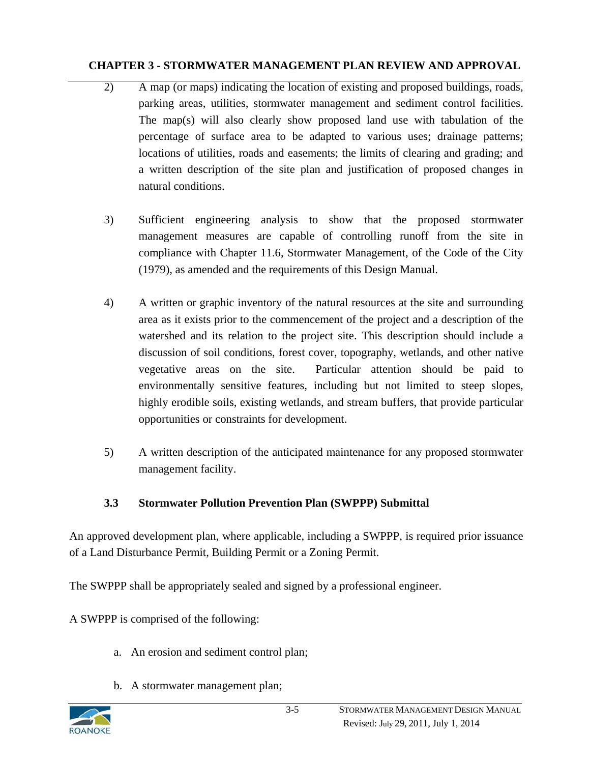- 2) A map (or maps) indicating the location of existing and proposed buildings, roads, parking areas, utilities, stormwater management and sediment control facilities. The map(s) will also clearly show proposed land use with tabulation of the percentage of surface area to be adapted to various uses; drainage patterns; locations of utilities, roads and easements; the limits of clearing and grading; and a written description of the site plan and justification of proposed changes in natural conditions.
- 3) Sufficient engineering analysis to show that the proposed stormwater management measures are capable of controlling runoff from the site in compliance with Chapter 11.6, Stormwater Management, of the Code of the City (1979), as amended and the requirements of this Design Manual.
- 4) A written or graphic inventory of the natural resources at the site and surrounding area as it exists prior to the commencement of the project and a description of the watershed and its relation to the project site. This description should include a discussion of soil conditions, forest cover, topography, wetlands, and other native vegetative areas on the site. Particular attention should be paid to environmentally sensitive features, including but not limited to steep slopes, highly erodible soils, existing wetlands, and stream buffers, that provide particular opportunities or constraints for development.
- 5) A written description of the anticipated maintenance for any proposed stormwater management facility.

# **3.3 Stormwater Pollution Prevention Plan (SWPPP) Submittal**

An approved development plan, where applicable, including a SWPPP, is required prior issuance of a Land Disturbance Permit, Building Permit or a Zoning Permit.

The SWPPP shall be appropriately sealed and signed by a professional engineer.

A SWPPP is comprised of the following:

- a. An erosion and sediment control plan;
- b. A stormwater management plan;

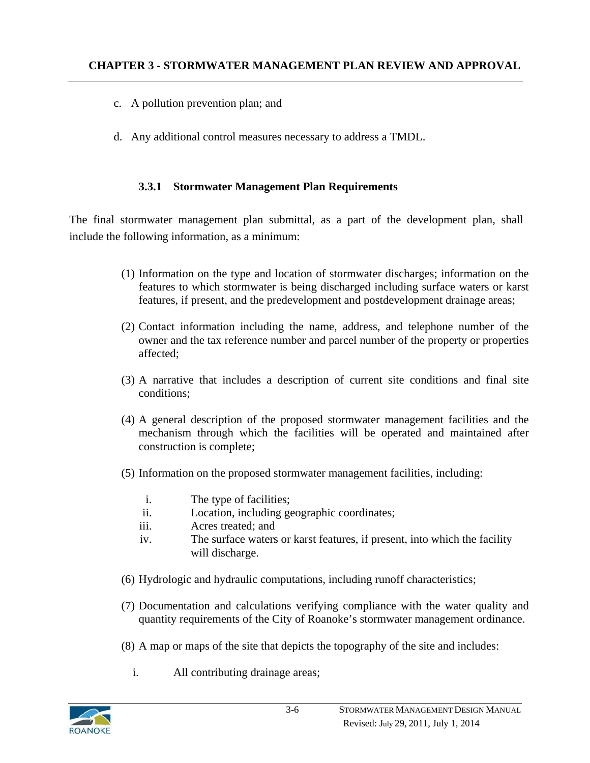- c. A pollution prevention plan; and
- d. Any additional control measures necessary to address a TMDL.

#### **3.3.1 Stormwater Management Plan Requirements**

The final stormwater management plan submittal, as a part of the development plan, shall include the following information, as a minimum:

- (1) Information on the type and location of stormwater discharges; information on the features to which stormwater is being discharged including surface waters or karst features, if present, and the predevelopment and postdevelopment drainage areas;
- (2) Contact information including the name, address, and telephone number of the owner and the tax reference number and parcel number of the property or properties affected;
- (3) A narrative that includes a description of current site conditions and final site conditions;
- (4) A general description of the proposed stormwater management facilities and the mechanism through which the facilities will be operated and maintained after construction is complete;
- (5) Information on the proposed stormwater management facilities, including:
	- i. The type of facilities;
	- ii. Location, including geographic coordinates;
	- iii. Acres treated; and
	- iv. The surface waters or karst features, if present, into which the facility will discharge.
- (6) Hydrologic and hydraulic computations, including runoff characteristics;
- (7) Documentation and calculations verifying compliance with the water quality and quantity requirements of the City of Roanoke's stormwater management ordinance.
- (8) A map or maps of the site that depicts the topography of the site and includes:
	- i. All contributing drainage areas;

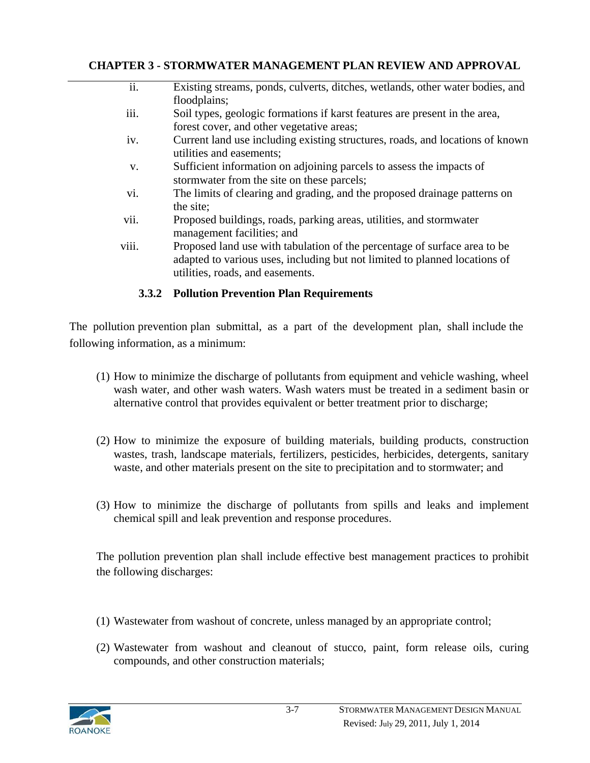| $\overline{ii}$ . | Existing streams, ponds, culverts, ditches, wetlands, other water bodies, and |
|-------------------|-------------------------------------------------------------------------------|
|                   | floodplains;                                                                  |
| iii.              | Soil types, geologic formations if karst features are present in the area,    |
|                   | forest cover, and other vegetative areas;                                     |
| 1V.               | Current land use including existing structures, roads, and locations of known |
|                   | utilities and easements;                                                      |
| V.                | Sufficient information on adjoining parcels to assess the impacts of          |
|                   | stormwater from the site on these parcels;                                    |
| vi.               | The limits of clearing and grading, and the proposed drainage patterns on     |
|                   | the site;                                                                     |
| vii.              | Proposed buildings, roads, parking areas, utilities, and stormwater           |
|                   | management facilities; and                                                    |
| viii.             | Proposed land use with tabulation of the percentage of surface area to be     |
|                   | adapted to various uses, including but not limited to planned locations of    |
|                   | utilities, roads, and easements.                                              |
|                   |                                                                               |

#### **3.3.2 Pollution Prevention Plan Requirements**

The pollution prevention plan submittal, as a part of the development plan, shall include the following information, as a minimum:

- (1) How to minimize the discharge of pollutants from equipment and vehicle washing, wheel wash water, and other wash waters. Wash waters must be treated in a sediment basin or alternative control that provides equivalent or better treatment prior to discharge;
- (2) How to minimize the exposure of building materials, building products, construction wastes, trash, landscape materials, fertilizers, pesticides, herbicides, detergents, sanitary waste, and other materials present on the site to precipitation and to stormwater; and
- (3) How to minimize the discharge of pollutants from spills and leaks and implement chemical spill and leak prevention and response procedures.

The pollution prevention plan shall include effective best management practices to prohibit the following discharges:

- (1) Wastewater from washout of concrete, unless managed by an appropriate control;
- (2) Wastewater from washout and cleanout of stucco, paint, form release oils, curing compounds, and other construction materials;

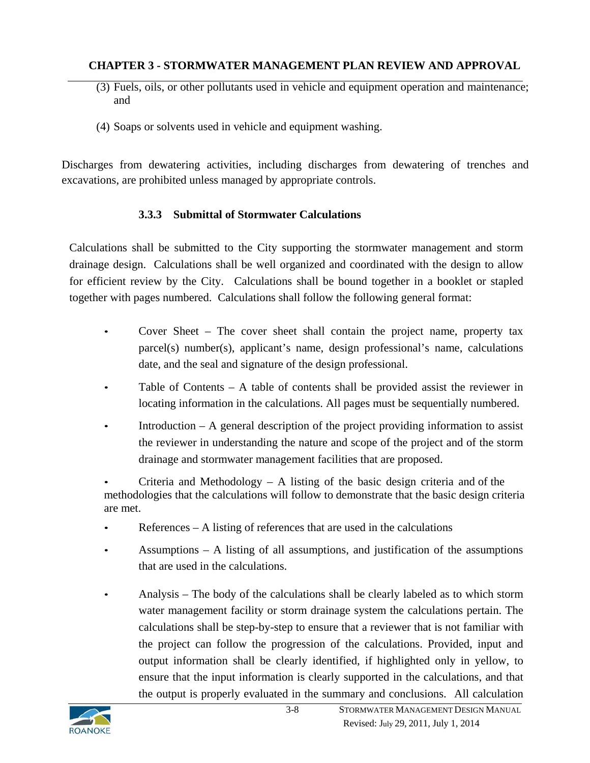- (3) Fuels, oils, or other pollutants used in vehicle and equipment operation and maintenance; and
- (4) Soaps or solvents used in vehicle and equipment washing.

Discharges from dewatering activities, including discharges from dewatering of trenches and excavations, are prohibited unless managed by appropriate controls.

## **3.3.3 Submittal of Stormwater Calculations**

Calculations shall be submitted to the City supporting the stormwater management and storm drainage design. Calculations shall be well organized and coordinated with the design to allow for efficient review by the City. Calculations shall be bound together in a booklet or stapled together with pages numbered. Calculations shall follow the following general format:

- Cover Sheet The cover sheet shall contain the project name, property tax parcel(s) number(s), applicant's name, design professional's name, calculations date, and the seal and signature of the design professional.
- Table of Contents A table of contents shall be provided assist the reviewer in locating information in the calculations. All pages must be sequentially numbered.
- Introduction  $A$  general description of the project providing information to assist the reviewer in understanding the nature and scope of the project and of the storm drainage and stormwater management facilities that are proposed.

Criteria and Methodology  $- A$  listing of the basic design criteria and of the methodologies that the calculations will follow to demonstrate that the basic design criteria are met.

- References  $-$  A listing of references that are used in the calculations
- Assumptions  $-$  A listing of all assumptions, and justification of the assumptions that are used in the calculations.
- Analysis The body of the calculations shall be clearly labeled as to which storm water management facility or storm drainage system the calculations pertain. The calculations shall be step-by-step to ensure that a reviewer that is not familiar with the project can follow the progression of the calculations. Provided, input and output information shall be clearly identified, if highlighted only in yellow, to ensure that the input information is clearly supported in the calculations, and that the output is properly evaluated in the summary and conclusions. All calculation

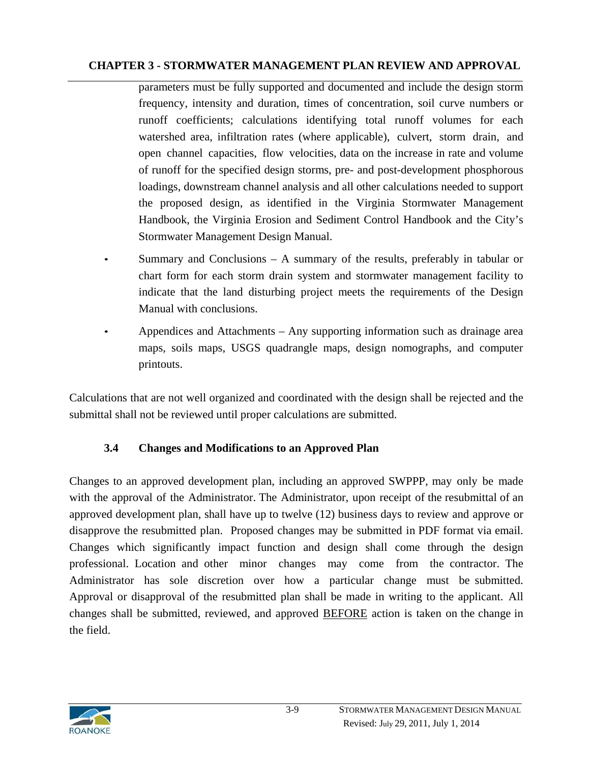parameters must be fully supported and documented and include the design storm frequency, intensity and duration, times of concentration, soil curve numbers or runoff coefficients; calculations identifying total runoff volumes for each watershed area, infiltration rates (where applicable), culvert, storm drain, and open channel capacities, flow velocities, data on the increase in rate and volume of runoff for the specified design storms, pre- and post-development phosphorous loadings, downstream channel analysis and all other calculations needed to support the proposed design, as identified in the Virginia Stormwater Management Handbook, the Virginia Erosion and Sediment Control Handbook and the City's Stormwater Management Design Manual.

- Summary and Conclusions  $A$  summary of the results, preferably in tabular or chart form for each storm drain system and stormwater management facility to indicate that the land disturbing project meets the requirements of the Design Manual with conclusions.
- Appendices and Attachments Any supporting information such as drainage area maps, soils maps, USGS quadrangle maps, design nomographs, and computer printouts.

Calculations that are not well organized and coordinated with the design shall be rejected and the submittal shall not be reviewed until proper calculations are submitted.

## **3.4 Changes and Modifications to an Approved Plan**

Changes to an approved development plan, including an approved SWPPP, may only be made with the approval of the Administrator. The Administrator, upon receipt of the resubmittal of an approved development plan, shall have up to twelve (12) business days to review and approve or disapprove the resubmitted plan. Proposed changes may be submitted in PDF format via email. Changes which significantly impact function and design shall come through the design professional. Location and other minor changes may come from the contractor. The Administrator has sole discretion over how a particular change must be submitted. Approval or disapproval of the resubmitted plan shall be made in writing to the applicant. All changes shall be submitted, reviewed, and approved BEFORE action is taken on the change in the field.

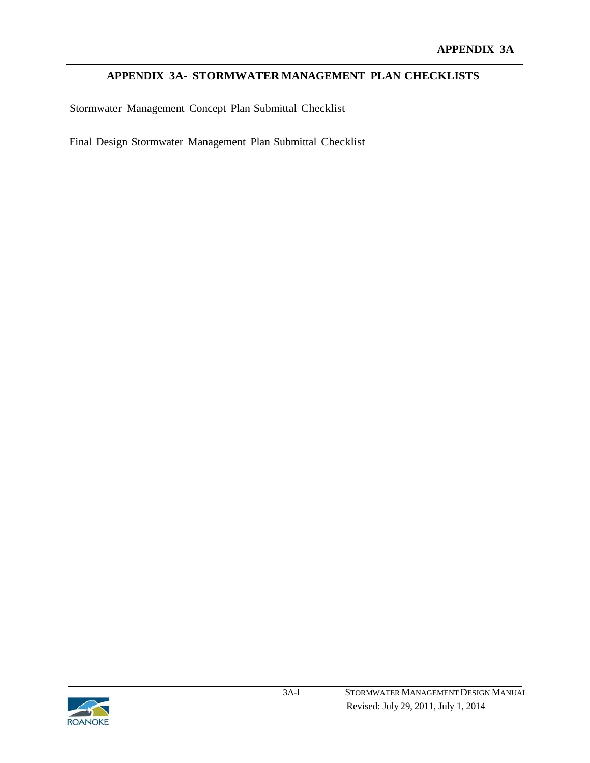#### **APPENDIX 3A- STORMWATER MANAGEMENT PLAN CHECKLISTS**

Stormwater Management Concept Plan Submittal Checklist

Final Design Stormwater Management Plan Submittal Checklist

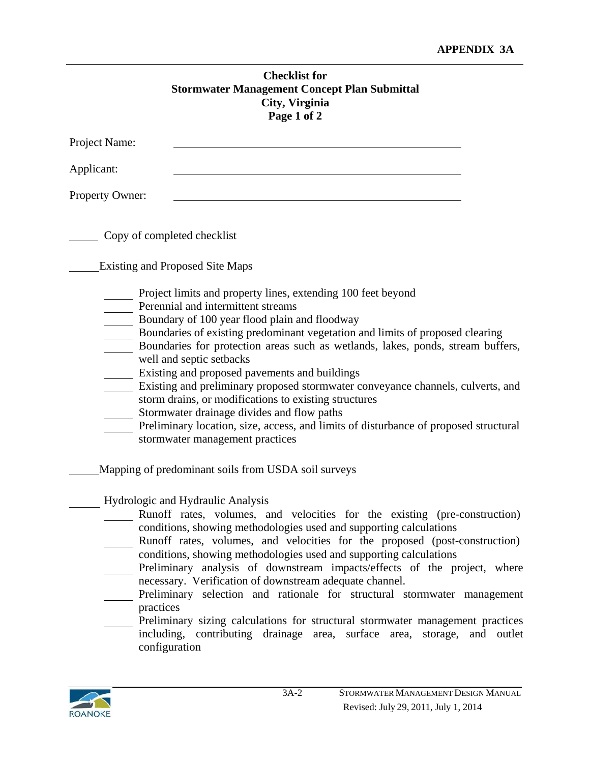|                             | <b>Checklist for</b><br><b>Stormwater Management Concept Plan Submittal</b><br>City, Virginia<br>Page 1 of 2                                                                                                                                                                                                                                                                                                                                                                                                                                                                                                                                                                                                              |  |
|-----------------------------|---------------------------------------------------------------------------------------------------------------------------------------------------------------------------------------------------------------------------------------------------------------------------------------------------------------------------------------------------------------------------------------------------------------------------------------------------------------------------------------------------------------------------------------------------------------------------------------------------------------------------------------------------------------------------------------------------------------------------|--|
| Project Name:               |                                                                                                                                                                                                                                                                                                                                                                                                                                                                                                                                                                                                                                                                                                                           |  |
| Applicant:                  |                                                                                                                                                                                                                                                                                                                                                                                                                                                                                                                                                                                                                                                                                                                           |  |
| Property Owner:             |                                                                                                                                                                                                                                                                                                                                                                                                                                                                                                                                                                                                                                                                                                                           |  |
| Copy of completed checklist |                                                                                                                                                                                                                                                                                                                                                                                                                                                                                                                                                                                                                                                                                                                           |  |
|                             | <b>Existing and Proposed Site Maps</b>                                                                                                                                                                                                                                                                                                                                                                                                                                                                                                                                                                                                                                                                                    |  |
|                             | Project limits and property lines, extending 100 feet beyond<br>Perennial and intermittent streams<br>Boundary of 100 year flood plain and floodway<br>Boundaries of existing predominant vegetation and limits of proposed clearing<br>Boundaries for protection areas such as wetlands, lakes, ponds, stream buffers,<br>well and septic setbacks<br>Existing and proposed pavements and buildings<br>Existing and preliminary proposed stormwater conveyance channels, culverts, and<br>storm drains, or modifications to existing structures<br>Stormwater drainage divides and flow paths<br>Preliminary location, size, access, and limits of disturbance of proposed structural<br>stormwater management practices |  |
|                             | Mapping of predominant soils from USDA soil surveys                                                                                                                                                                                                                                                                                                                                                                                                                                                                                                                                                                                                                                                                       |  |
| practices<br>configuration  | Hydrologic and Hydraulic Analysis<br>Runoff rates, volumes, and velocities for the existing (pre-construction)<br>conditions, showing methodologies used and supporting calculations<br>Runoff rates, volumes, and velocities for the proposed (post-construction)<br>conditions, showing methodologies used and supporting calculations<br>Preliminary analysis of downstream impacts/effects of the project, where<br>necessary. Verification of downstream adequate channel.<br>Preliminary selection and rationale for structural stormwater management<br>Preliminary sizing calculations for structural stormwater management practices<br>including, contributing drainage area, surface area, storage, and outlet |  |

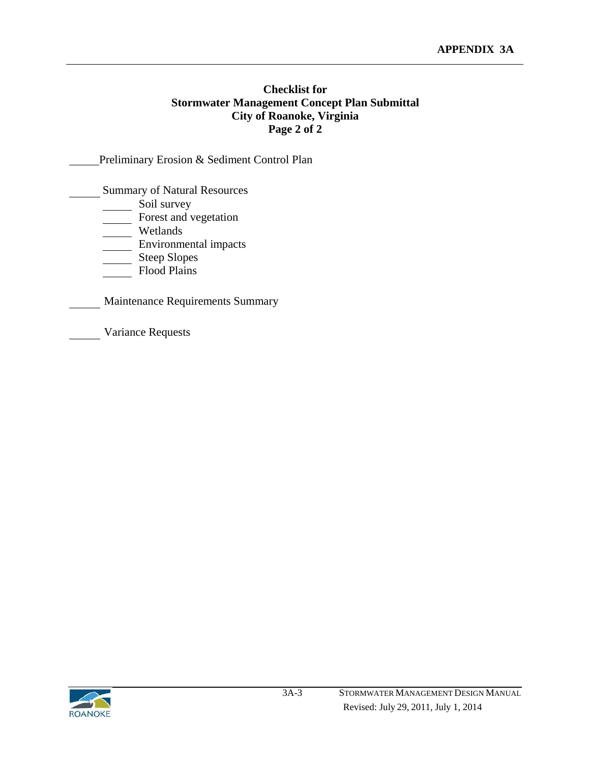#### **Checklist for Stormwater Management Concept Plan Submittal City of Roanoke, Virginia Page 2 of 2**

#### Preliminary Erosion & Sediment Control Plan

Summary of Natural Resources

- Soil survey
- Forest and vegetation
- Wetlands
- **Environmental impacts**
- Steep Slopes
- Flood Plains
- Maintenance Requirements Summary
- Variance Requests

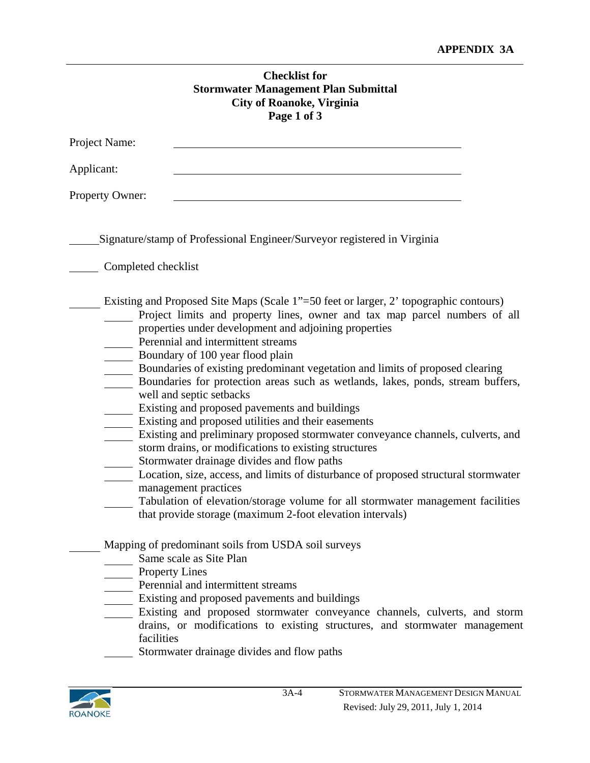|                        | <b>Checklist for</b><br><b>Stormwater Management Plan Submittal</b><br><b>City of Roanoke, Virginia</b><br>Page 1 of 3                                                                                                                                                                                                                                                                                                                                                                                                                                                                                                                                                                                                                                                                                                                                                                                                                                                                                                                                                  |  |
|------------------------|-------------------------------------------------------------------------------------------------------------------------------------------------------------------------------------------------------------------------------------------------------------------------------------------------------------------------------------------------------------------------------------------------------------------------------------------------------------------------------------------------------------------------------------------------------------------------------------------------------------------------------------------------------------------------------------------------------------------------------------------------------------------------------------------------------------------------------------------------------------------------------------------------------------------------------------------------------------------------------------------------------------------------------------------------------------------------|--|
| Project Name:          |                                                                                                                                                                                                                                                                                                                                                                                                                                                                                                                                                                                                                                                                                                                                                                                                                                                                                                                                                                                                                                                                         |  |
| Applicant:             |                                                                                                                                                                                                                                                                                                                                                                                                                                                                                                                                                                                                                                                                                                                                                                                                                                                                                                                                                                                                                                                                         |  |
| <b>Property Owner:</b> | <u> 1980 - Johann Barbara, martxa alemaniar arg</u>                                                                                                                                                                                                                                                                                                                                                                                                                                                                                                                                                                                                                                                                                                                                                                                                                                                                                                                                                                                                                     |  |
|                        | Signature/stamp of Professional Engineer/Surveyor registered in Virginia                                                                                                                                                                                                                                                                                                                                                                                                                                                                                                                                                                                                                                                                                                                                                                                                                                                                                                                                                                                                |  |
| Completed checklist    |                                                                                                                                                                                                                                                                                                                                                                                                                                                                                                                                                                                                                                                                                                                                                                                                                                                                                                                                                                                                                                                                         |  |
|                        | Existing and Proposed Site Maps (Scale 1"=50 feet or larger, 2' topographic contours)<br>Project limits and property lines, owner and tax map parcel numbers of all<br>properties under development and adjoining properties<br>Perennial and intermittent streams<br>Boundary of 100 year flood plain<br>Boundaries of existing predominant vegetation and limits of proposed clearing<br>Boundaries for protection areas such as wetlands, lakes, ponds, stream buffers,<br>well and septic setbacks<br>Existing and proposed pavements and buildings<br>Existing and proposed utilities and their easements<br>Existing and preliminary proposed stormwater conveyance channels, culverts, and<br>storm drains, or modifications to existing structures<br>Stormwater drainage divides and flow paths<br>Location, size, access, and limits of disturbance of proposed structural stormwater<br>management practices<br>Tabulation of elevation/storage volume for all stormwater management facilities<br>that provide storage (maximum 2-foot elevation intervals) |  |
| facilities             | Mapping of predominant soils from USDA soil surveys<br>Same scale as Site Plan<br><b>Property Lines</b><br>Perennial and intermittent streams<br>Existing and proposed pavements and buildings<br>Existing and proposed stormwater conveyance channels, culverts, and storm<br>drains, or modifications to existing structures, and stormwater management<br>Stormwater drainage divides and flow paths                                                                                                                                                                                                                                                                                                                                                                                                                                                                                                                                                                                                                                                                 |  |

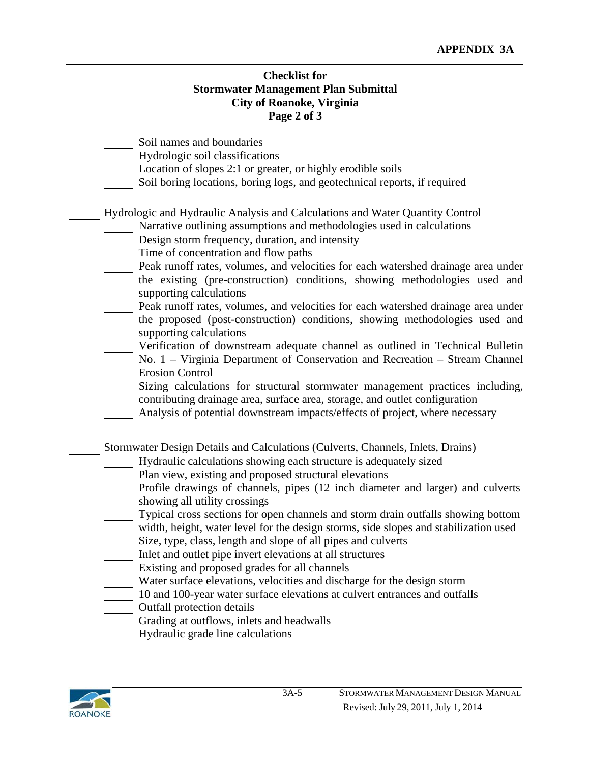#### **Checklist for Stormwater Management Plan Submittal City of Roanoke, Virginia Page 2 of 3**

- Soil names and boundaries
- Hydrologic soil classifications
- Location of slopes 2:1 or greater, or highly erodible soils
- Soil boring locations, boring logs, and geotechnical reports, if required

Hydrologic and Hydraulic Analysis and Calculations and Water Quantity Control

- Narrative outlining assumptions and methodologies used in calculations
- Design storm frequency, duration, and intensity
- Time of concentration and flow paths
- Peak runoff rates, volumes, and velocities for each watershed drainage area under the existing (pre-construction) conditions, showing methodologies used and supporting calculations
- Peak runoff rates, volumes, and velocities for each watershed drainage area under the proposed (post-construction) conditions, showing methodologies used and supporting calculations
	- Verification of downstream adequate channel as outlined in Technical Bulletin
- No. 1 Virginia Department of Conservation and Recreation Stream Channel Erosion Control
- Sizing calculations for structural stormwater management practices including, contributing drainage area, surface area, storage, and outlet configuration
- Analysis of potential downstream impacts/effects of project, where necessary

Stormwater Design Details and Calculations (Culverts, Channels, Inlets, Drains)

- Hydraulic calculations showing each structure is adequately sized
- Plan view, existing and proposed structural elevations
- Profile drawings of channels, pipes (12 inch diameter and larger) and culverts showing all utility crossings
- Typical cross sections for open channels and storm drain outfalls showing bottom width, height, water level for the design storms, side slopes and stabilization used
- Size, type, class, length and slope of all pipes and culverts
- Inlet and outlet pipe invert elevations at all structures
- Existing and proposed grades for all channels
- Water surface elevations, velocities and discharge for the design storm
- 10 and 100-year water surface elevations at culvert entrances and outfalls
- Outfall protection details
- Grading at outflows, inlets and headwalls
- Hydraulic grade line calculations